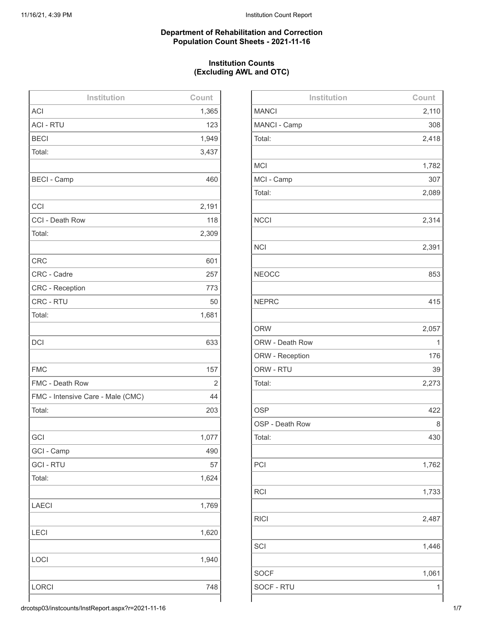## **Department of Rehabilitation and Correction Population Count Sheets - 2021-11-16**

## **Institution Counts (Excluding AWL and OTC)**

| Institution                       | Count |
|-----------------------------------|-------|
| <b>ACI</b>                        | 1,365 |
| <b>ACI - RTU</b>                  | 123   |
| <b>BECI</b>                       | 1,949 |
| Total:                            | 3,437 |
|                                   |       |
| <b>BECI - Camp</b>                | 460   |
|                                   |       |
| CCI                               | 2,191 |
| CCI - Death Row                   | 118   |
| Total:                            | 2,309 |
|                                   |       |
| <b>CRC</b>                        | 601   |
| CRC - Cadre                       | 257   |
| <b>CRC</b> - Reception            | 773   |
| CRC - RTU                         | 50    |
| Total:                            | 1,681 |
|                                   |       |
| <b>DCI</b>                        | 633   |
|                                   |       |
| <b>FMC</b>                        | 157   |
| FMC - Death Row                   | 2     |
| FMC - Intensive Care - Male (CMC) | 44    |
| Total:                            | 203   |
|                                   |       |
| GCI                               | 1,077 |
| GCI - Camp                        | 490   |
| <b>GCI-RTU</b>                    | 57    |
| Total:                            | 1,624 |
|                                   |       |
| <b>LAECI</b>                      | 1,769 |
|                                   |       |
| <b>LECI</b>                       | 1,620 |
|                                   |       |
| LOCI                              | 1,940 |
|                                   |       |
| <b>LORCI</b>                      | 748   |
|                                   |       |

| Institution               | Count |
|---------------------------|-------|
| <b>MANCI</b>              | 2,110 |
| MANCI - Camp              | 308   |
| Total:                    | 2,418 |
|                           |       |
| <b>MCI</b>                | 1,782 |
| MCI - Camp                | 307   |
| Total:                    | 2,089 |
|                           |       |
| <b>NCCI</b>               | 2,314 |
|                           |       |
| <b>NCI</b>                | 2,391 |
|                           |       |
| <b>NEOCC</b>              | 853   |
|                           |       |
| <b>NEPRC</b>              | 415   |
|                           |       |
| <b>ORW</b>                | 2,057 |
| ORW - Death Row           | 1     |
| ORW - Reception           | 176   |
| ORW - RTU                 | 39    |
| Total:                    | 2,273 |
|                           |       |
| <b>OSP</b>                | 422   |
| OSP - Death Row<br>Total: | 8     |
|                           | 430   |
| PCI                       | 1,762 |
|                           |       |
| <b>RCI</b>                | 1,733 |
|                           |       |
| <b>RICI</b>               | 2,487 |
|                           |       |
| SCI                       | 1,446 |
|                           |       |
| <b>SOCF</b>               | 1,061 |
| SOCF - RTU                | 1     |
|                           |       |

drcotsp03/instcounts/InstReport.aspx?r=2021-11-16 1/7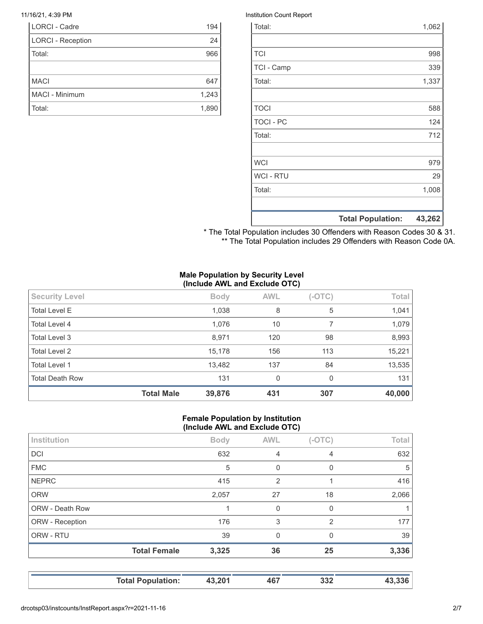| LORCI - Cadre            | 194   |
|--------------------------|-------|
| <b>LORCI - Reception</b> | 24    |
| Total:                   | 966   |
|                          |       |
| <b>MACI</b>              | 647   |
| MACI - Minimum           | 1,243 |
| Total:                   | 1,890 |

#### 11/16/21, 4:39 PM **Institution Count Report**

|                  | <b>Total Population:</b> | 43,262 |
|------------------|--------------------------|--------|
|                  |                          |        |
| Total:           |                          | 1,008  |
| <b>WCI - RTU</b> |                          | 29     |
| <b>WCI</b>       |                          | 979    |
|                  |                          |        |
| Total:           |                          | 712    |
| <b>TOCI - PC</b> |                          | 124    |
| <b>TOCI</b>      |                          | 588    |
|                  |                          |        |
| Total:           |                          | 1,337  |
| TCI - Camp       |                          | 339    |
| <b>TCI</b>       |                          | 998    |
|                  |                          |        |
| Total:           |                          | 1,062  |

\* The Total Population includes 30 Offenders with Reason Codes 30 & 31. \*\* The Total Population includes 29 Offenders with Reason Code 0A.

#### **Male Population by Security Level (Include AWL and Exclude OTC)**

|                        | <b>Total Male</b> | 39,876      | 431        | 307      | 40,000 |
|------------------------|-------------------|-------------|------------|----------|--------|
| <b>Total Death Row</b> |                   | 131         | 0          | 0        | 131    |
| <b>Total Level 1</b>   |                   | 13,482      | 137        | 84       | 13,535 |
| <b>Total Level 2</b>   |                   | 15,178      | 156        | 113      | 15,221 |
| Total Level 3          |                   | 8,971       | 120        | 98       | 8,993  |
| Total Level 4          |                   | 1,076       | 10         |          | 1,079  |
| <b>Total Level E</b>   |                   | 1,038       | 8          | 5        | 1,041  |
| <b>Security Level</b>  |                   | <b>Body</b> | <b>AWL</b> | $(-OTC)$ | Total  |

#### **Female Population by Institution (Include AWL and Exclude OTC)**

|                 | $\cdot$             |             |                | . .      |       |
|-----------------|---------------------|-------------|----------------|----------|-------|
| Institution     |                     | <b>Body</b> | <b>AWL</b>     | $(-OTC)$ | Total |
| <b>DCI</b>      |                     | 632         | $\overline{4}$ | 4        | 632   |
| <b>FMC</b>      |                     | 5           | $\Omega$       | 0        | 5     |
| <b>NEPRC</b>    |                     | 415         | 2              |          | 416   |
| <b>ORW</b>      |                     | 2,057       | 27             | 18       | 2,066 |
| ORW - Death Row |                     |             | $\Omega$       | $\Omega$ | 1     |
| ORW - Reception |                     | 176         | 3              | 2        | 177   |
| ORW - RTU       |                     | 39          | $\Omega$       | $\Omega$ | 39    |
|                 | <b>Total Female</b> | 3,325       | 36             | 25       | 3,336 |
|                 |                     |             |                |          |       |
|                 |                     |             |                |          |       |

**Total Population: 43,201 467 332 43,336**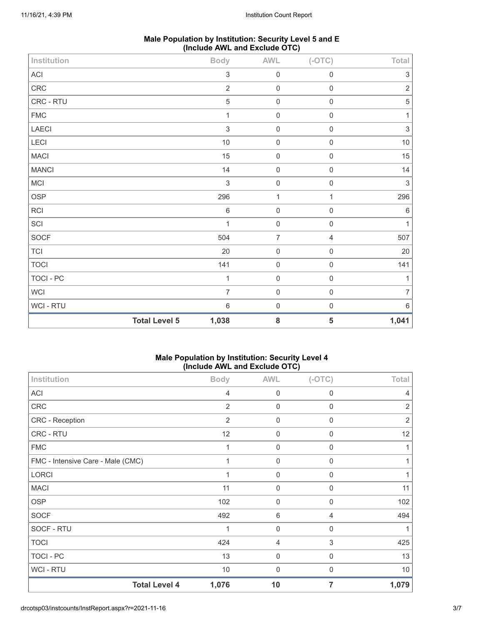| Male Population by Institution: Security Level 5 and E |  |
|--------------------------------------------------------|--|
| (Include AWL and Exclude OTC)                          |  |

| Institution                | . .                  | <b>Body</b>    | <b>AWL</b>          | $(-OTC)$       | Total                     |
|----------------------------|----------------------|----------------|---------------------|----------------|---------------------------|
| $\boldsymbol{\mathsf{AC}}$ |                      | $\sqrt{3}$     | $\mathbf 0$         | $\mathbf 0$    | $\ensuremath{\mathsf{3}}$ |
| ${\sf CRC}$                |                      | $\sqrt{2}$     | $\mathbf 0$         | $\mathbf 0$    | $\sqrt{2}$                |
| CRC - RTU                  |                      | $\mathbf 5$    | $\mathbf 0$         | $\mathbf 0$    | $\mathbf 5$               |
| ${\sf FMC}$                |                      | $\mathbf{1}$   | $\mathbf 0$         | $\mathbf 0$    | 1                         |
| LAECI                      |                      | $\sqrt{3}$     | $\mathbf 0$         | $\mathbf 0$    | $\sqrt{3}$                |
| LECI                       |                      | $10$           | $\mathbf 0$         | $\mathbf 0$    | $10\,$                    |
| <b>MACI</b>                |                      | 15             | $\mathbf 0$         | $\mathbf 0$    | 15                        |
| <b>MANCI</b>               |                      | 14             | $\mathsf{O}\xspace$ | $\mathbf 0$    | 14                        |
| <b>MCI</b>                 |                      | $\sqrt{3}$     | $\mathsf{O}\xspace$ | $\mathbf 0$    | $\sqrt{3}$                |
| OSP                        |                      | 296            | $\mathbf{1}$        | $\mathbf{1}$   | 296                       |
| RCI                        |                      | $\,6\,$        | $\mathbf 0$         | $\mathbf 0$    | $\,6\,$                   |
| SCI                        |                      | 1              | $\mathbf 0$         | $\mathbf 0$    | 1                         |
| SOCF                       |                      | 504            | $\overline{7}$      | $\overline{4}$ | 507                       |
| $\top$ Cl                  |                      | $20\,$         | $\mathsf{O}\xspace$ | $\mathbf 0$    | 20                        |
| <b>TOCI</b>                |                      | 141            | $\mathbf 0$         | $\mathbf 0$    | 141                       |
| TOCI - PC                  |                      | $\mathbf{1}$   | $\mathbf 0$         | $\mathbf 0$    | $\overline{1}$            |
| WCI                        |                      | $\overline{7}$ | $\mathbf 0$         | $\mathbf 0$    | 7                         |
| WCI - RTU                  |                      | $\,6\,$        | $\mathbf 0$         | $\mathbf 0$    | 6                         |
|                            | <b>Total Level 5</b> | 1,038          | ${\bf 8}$           | 5              | 1,041                     |

# **Male Population by Institution: Security Level 4 (Include AWL and Exclude OTC)**

| Institution                       | <b>Body</b>    | <b>AWL</b>          | $(-OTC)$     | Total          |
|-----------------------------------|----------------|---------------------|--------------|----------------|
| <b>ACI</b>                        | $\overline{4}$ | $\mathbf 0$         | $\mathbf 0$  | 4              |
| CRC                               | $\overline{2}$ | $\mathbf 0$         | $\mathbf 0$  | $\overline{2}$ |
| <b>CRC</b> - Reception            | $\overline{2}$ | 0                   | 0            | $\overline{2}$ |
| CRC - RTU                         | 12             | 0                   | $\mathbf 0$  | 12             |
| <b>FMC</b>                        | 1              | $\boldsymbol{0}$    | $\mathbf 0$  |                |
| FMC - Intensive Care - Male (CMC) | 1              | $\mathbf 0$         | $\mathbf 0$  |                |
| LORCI                             |                | $\mathsf{O}\xspace$ | 0            |                |
| <b>MACI</b>                       | 11             | $\mathbf 0$         | $\mathbf 0$  | 11             |
| <b>OSP</b>                        | 102            | $\mathbf 0$         | $\mathbf 0$  | 102            |
| <b>SOCF</b>                       | 492            | 6                   | 4            | 494            |
| SOCF - RTU                        | 1              | $\mathbf 0$         | $\mathbf 0$  |                |
| <b>TOCI</b>                       | 424            | $\overline{4}$      | 3            | 425            |
| TOCI - PC                         | 13             | 0                   | $\mathbf{0}$ | 13             |
| <b>WCI-RTU</b>                    | $10$           | $\mathbf 0$         | 0            | $10$           |
| <b>Total Level 4</b>              | 1,076          | 10                  | 7            | 1,079          |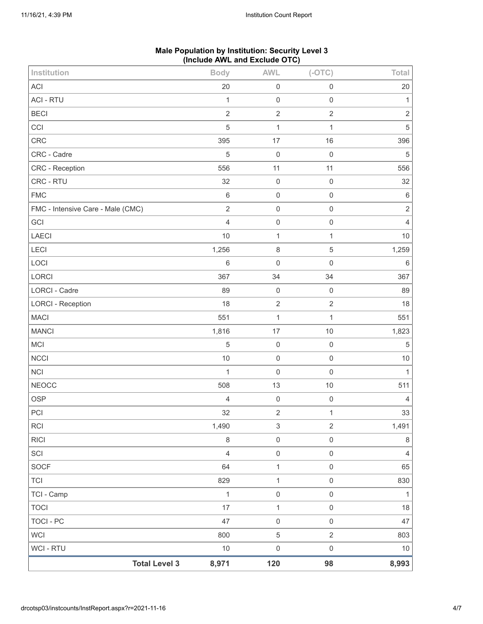| <b>Total Level 3</b>              | 8,971                            | 120                       | 98                  | 8,993                    |
|-----------------------------------|----------------------------------|---------------------------|---------------------|--------------------------|
| WCI - RTU                         | $10$                             | $\mathbf 0$               | $\mathsf{O}\xspace$ | $10$                     |
| <b>WCI</b>                        | 800                              | $\sqrt{5}$                | $\overline{2}$      | 803                      |
| TOCI - PC                         | 47                               | $\mathbf 0$               | $\mathbf 0$         | 47                       |
| <b>TOCI</b>                       | 17                               | $\mathbf{1}$              | $\mathbf 0$         | 18                       |
| TCI - Camp                        | $\mathbf{1}$                     | $\mathbf 0$               | $\mathsf{O}\xspace$ | $\mathbf{1}$             |
| <b>TCI</b>                        | 829                              | $\mathbf{1}$              | $\mathbf 0$         | 830                      |
| SOCF                              | 64                               | $\mathbf{1}$              | $\mathbf 0$         | 65                       |
| SCI                               | $\overline{4}$                   | $\mathbf 0$               | $\mathbf 0$         | $\overline{4}$           |
| <b>RICI</b>                       | $\,8\,$                          | $\mathbf 0$               | $\mathbf 0$         | $\,8\,$                  |
| RCI                               | 1,490                            | $\ensuremath{\mathsf{3}}$ | $\sqrt{2}$          | 1,491                    |
| PCI                               | 32                               | $\mathbf 2$               | 1                   | 33                       |
| <b>OSP</b>                        | $\sqrt{4}$                       | $\mathbf 0$               | $\mathbf 0$         | $\overline{4}$           |
| <b>NEOCC</b>                      | 508                              | 13                        | $10$                | 511                      |
| <b>NCI</b>                        | $\mathbf{1}$                     | $\mathbf 0$               | $\mathbf 0$         | $\mathbf{1}$             |
| <b>NCCI</b>                       | $10$                             | $\mathbf 0$               | $\mathbf 0$         | $10$                     |
| <b>MCI</b>                        | $\overline{5}$                   | $\mathbf 0$               | $\mathbf 0$         | $\mathbf 5$              |
| <b>MANCI</b>                      | 1,816                            | $17$                      | 10                  | 1,823                    |
| <b>MACI</b>                       | 551                              | $\mathbf{1}$              | $\mathbf{1}$        | 551                      |
| <b>LORCI - Reception</b>          | 18                               | $\sqrt{2}$                | $\sqrt{2}$          | 18                       |
| LORCI - Cadre                     | 89                               | $\mathbf 0$               | $\mathbf 0$         | 89                       |
| LORCI                             | 367                              | 34                        | 34                  | 367                      |
| LOCI                              | 6                                | $\mathbf 0$               | $\mathbf 0$         | $\,6\,$                  |
| LECI                              | 1,256                            | $\,8\,$                   | $\,$ 5 $\,$         | 1,259                    |
| LAECI                             | 10                               | $\mathbf 1$               | 1                   | $10$                     |
| GCI                               | $\overline{4}$                   | $\mathbf 0$               | $\mathbf 0$         | $\overline{4}$           |
| FMC - Intensive Care - Male (CMC) | $\overline{2}$                   | $\mathbf 0$               | $\mathbf 0$         | $\sqrt{2}$               |
| <b>FMC</b>                        | $6\,$                            | $\mathbf 0$               | $\mathbf 0$         | $\,6\,$                  |
| CRC - RTU                         | 32                               | $\mathbf 0$               | $\mathbf 0$         | 32                       |
| CRC - Reception                   | 556                              | 11                        | 11                  | 556                      |
| CRC - Cadre                       | 5                                | 17<br>$\mathbf 0$         | 16<br>$\mathbf 0$   | 396<br>$\mathbf 5$       |
| CCI<br>CRC                        | 395                              | $\mathbf 1$               | 1                   |                          |
| <b>BECI</b>                       | $\overline{2}$<br>$\overline{5}$ | $\sqrt{2}$                | $\overline{2}$      | $\sqrt{2}$<br>$\sqrt{5}$ |
| <b>ACI - RTU</b>                  | $\mathbf{1}$                     | $\mathbf 0$               | $\mathbf 0$         | $\mathbf{1}$             |
| ACI                               | 20                               | $\mathbf 0$               | $\mathbf 0$         | $20\,$                   |
| Institution                       | <b>Body</b>                      | <b>AWL</b>                | $(-OTC)$            | Total                    |
|                                   | л.                               |                           |                     |                          |

# **Male Population by Institution: Security Level 3 (Include AWL and Exclude OTC)**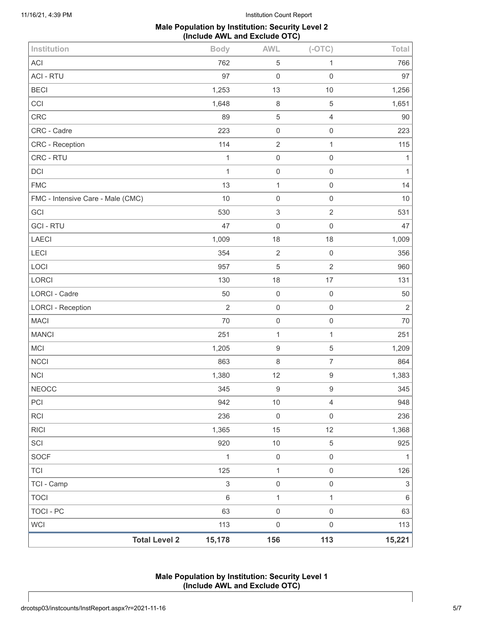## **Male Population by Institution: Security Level 2 (Include AWL and Exclude OTC)**

| <b>Total Level 2</b>              | 15,178         | 156                 | 113                 | 15,221         |
|-----------------------------------|----------------|---------------------|---------------------|----------------|
| <b>WCI</b>                        | 113            | $\mathsf{O}\xspace$ | $\mathsf 0$         | 113            |
| <b>TOCI - PC</b>                  | 63             | $\mathbf 0$         | $\mathsf{O}\xspace$ | 63             |
| <b>TOCI</b>                       | $\,6$          | $\mathbf{1}$        | $\mathbf{1}$        | $\,6\,$        |
| TCI - Camp                        | $\sqrt{3}$     | $\mathbf 0$         | $\mathsf{O}\xspace$ | 3              |
| <b>TCI</b>                        | 125            | $\mathbf{1}$        | $\mathsf 0$         | 126            |
| <b>SOCF</b>                       | $\mathbf{1}$   | $\mathbf 0$         | $\mathsf{O}\xspace$ | 1              |
| SCI                               | 920            | $10$                | $\mathbf 5$         | 925            |
| <b>RICI</b>                       | 1,365          | 15                  | 12                  | 1,368          |
| <b>RCI</b>                        | 236            | $\mathbf 0$         | $\mathsf{O}\xspace$ | 236            |
| PCI                               | 942            | $10$                | $\overline{4}$      | 948            |
| <b>NEOCC</b>                      | 345            | $\boldsymbol{9}$    | $\boldsymbol{9}$    | 345            |
| <b>NCI</b>                        | 1,380          | 12                  | $\boldsymbol{9}$    | 1,383          |
| <b>NCCI</b>                       | 863            | $\,8\,$             | $\boldsymbol{7}$    | 864            |
| MCI                               | 1,205          | $\boldsymbol{9}$    | 5                   | 1,209          |
| <b>MANCI</b>                      | 251            | $\mathbf{1}$        | $\mathbf{1}$        | 251            |
| <b>MACI</b>                       | 70             | $\mathbf 0$         | $\mathsf 0$         | 70             |
| <b>LORCI - Reception</b>          | $\overline{2}$ | $\mathbf 0$         | $\mathsf{O}\xspace$ | $\overline{2}$ |
| LORCI - Cadre                     | 50             | $\mathbf 0$         | $\mathbf 0$         | 50             |
| LORCI                             | 130            | 18                  | 17                  | 131            |
| LOCI                              | 957            | $\mathbf 5$         | $\sqrt{2}$          | 960            |
| LECI                              | 354            | $\sqrt{2}$          | $\mathbf 0$         | 356            |
| LAECI                             | 1,009          | 18                  | 18                  | 1,009          |
| <b>GCI-RTU</b>                    | 47             | $\mathbf 0$         | $\mathsf{O}\xspace$ | 47             |
| GCI                               | 530            | $\sqrt{3}$          | $\overline{c}$      | 531            |
| FMC - Intensive Care - Male (CMC) | 10             | $\mathbf 0$         | $\mathsf 0$         | 10             |
| <b>FMC</b>                        | 13             | $\mathbf{1}$        | $\mathsf{O}\xspace$ | 14             |
| DCI                               | $\mathbf{1}$   | $\mathbf 0$         | $\mathsf{O}\xspace$ | $\mathbf{1}$   |
| CRC - RTU                         | $\mathbf{1}$   | $\mathbf 0$         | $\mathbf 0$         | $\mathbf{1}$   |
| CRC - Reception                   | 114            | $\sqrt{2}$          | 1                   | 115            |
| CRC - Cadre                       | 223            | $\mathbf 0$         | $\mathsf{O}\xspace$ | 223            |
| CRC                               | 89             | $\,$ 5 $\,$         | $\overline{4}$      | $90\,$         |
| CCI                               | 1,648          | $\,8\,$             | 5                   | 1,651          |
| <b>ACI - RTU</b><br><b>BECI</b>   | 97<br>1,253    | $\mathbf 0$<br>13   | $\mathsf 0$<br>10   | 97<br>1,256    |
| <b>ACI</b>                        | 762            | $\,$ 5 $\,$         | 1                   | 766            |
| Institution                       | <b>Body</b>    | <b>AWL</b>          | $(-OTC)$            | Total          |
|                                   |                |                     |                     |                |

# **Male Population by Institution: Security Level 1 (Include AWL and Exclude OTC)**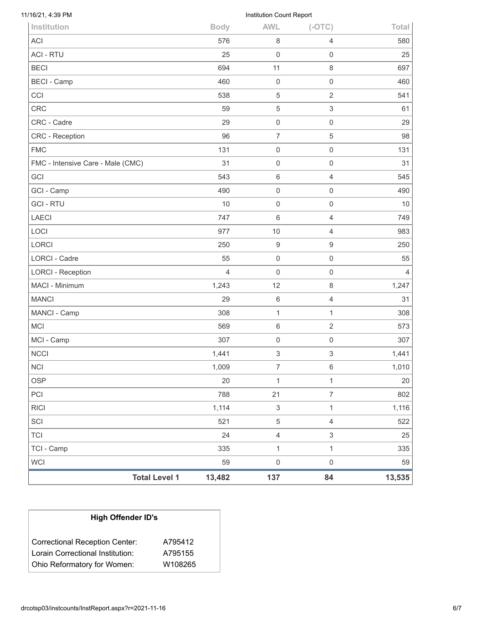| <b>LORCI - Reception</b> | $\overline{4}$ | 0                         | 0                   | $\overline{4}$ |
|--------------------------|----------------|---------------------------|---------------------|----------------|
| MACI - Minimum           | 1,243          | 12                        | 8                   | 1,247          |
|                          |                |                           |                     |                |
| <b>MANCI</b>             | 29             | $\,6\,$                   | 4                   | 31             |
| MANCI - Camp             | 308            | 1                         | $\mathbf{1}$        | 308            |
|                          |                |                           |                     |                |
| <b>MCI</b>               | 569            | $6\,$                     | $\overline{2}$      | 573            |
| MCI - Camp               | 307            | $\mathbf 0$               | $\mathsf{O}\xspace$ | 307            |
| <b>NCCI</b>              | 1,441          | 3                         | 3                   | 1,441          |
| <b>NCI</b>               | 1,009          | $\boldsymbol{7}$          | 6                   | 1,010          |
| <b>OSP</b>               | 20             | $\mathbf 1$               | $\mathbf{1}$        | 20             |
| PCI                      | 788            | 21                        | $\overline{7}$      | 802            |
| <b>RICI</b>              | 1,114          | $\ensuremath{\mathsf{3}}$ | $\mathbf{1}$        | 1,116          |
|                          |                |                           |                     |                |
| SCI                      | 521            | $\sqrt{5}$                | $\overline{4}$      | 522            |
| <b>TCI</b>               | 24             | $\sqrt{4}$                | $\,$ 3 $\,$         | 25             |
| TCI - Camp               | 335            | $\mathbf{1}$              | $\mathbf{1}$        | 335            |
|                          |                |                           |                     |                |

| <b>High Offender ID's</b>        |         |
|----------------------------------|---------|
| Correctional Reception Center:   | A795412 |
| Lorain Correctional Institution: | A795155 |
| Ohio Reformatory for Women:      | W108265 |